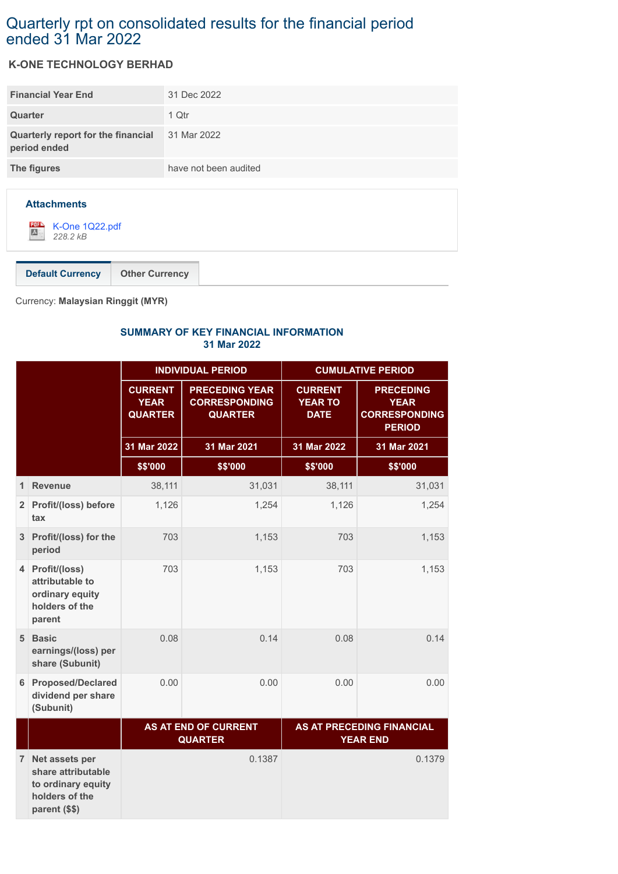## Quarterly rpt on consolidated results for the financial period ended 31 Mar 2022

## **K-ONE TECHNOLOGY BERHAD**

| <b>Financial Year End</b>                          | 31 Dec 2022           |
|----------------------------------------------------|-----------------------|
| Quarter                                            | 1 Qtr                 |
| Quarterly report for the financial<br>period ended | 31 Mar 2022           |
| The figures                                        | have not been audited |
|                                                    |                       |



**Default Currency Other Currency**

Currency: **Malaysian Ringgit (MYR)**

## **SUMMARY OF KEY FINANCIAL INFORMATION 31 Mar 2022**

|                |                                                                                               | <b>INDIVIDUAL PERIOD</b>                        |                                                                 | <b>CUMULATIVE PERIOD</b>                        |                                                                          |
|----------------|-----------------------------------------------------------------------------------------------|-------------------------------------------------|-----------------------------------------------------------------|-------------------------------------------------|--------------------------------------------------------------------------|
|                |                                                                                               | <b>CURRENT</b><br><b>YEAR</b><br><b>QUARTER</b> | <b>PRECEDING YEAR</b><br><b>CORRESPONDING</b><br><b>QUARTER</b> | <b>CURRENT</b><br><b>YEAR TO</b><br><b>DATE</b> | <b>PRECEDING</b><br><b>YEAR</b><br><b>CORRESPONDING</b><br><b>PERIOD</b> |
|                |                                                                                               | 31 Mar 2022                                     | 31 Mar 2021                                                     | 31 Mar 2022                                     | 31 Mar 2021                                                              |
|                |                                                                                               | \$\$'000                                        | \$\$'000                                                        | \$\$'000                                        | \$\$'000                                                                 |
| 1              | <b>Revenue</b>                                                                                | 38,111                                          | 31,031                                                          | 38,111                                          | 31,031                                                                   |
| $2^{\circ}$    | Profit/(loss) before<br>tax                                                                   | 1,126                                           | 1,254                                                           | 1,126                                           | 1,254                                                                    |
| 3 <sup>1</sup> | Profit/(loss) for the<br>period                                                               | 703                                             | 1,153                                                           | 703                                             | 1,153                                                                    |
| 4              | Profit/(loss)<br>attributable to<br>ordinary equity<br>holders of the<br>parent               | 703                                             | 1,153                                                           | 703                                             | 1,153                                                                    |
| 5 <sup>1</sup> | <b>Basic</b><br>earnings/(loss) per<br>share (Subunit)                                        | 0.08                                            | 0.14                                                            | 0.08                                            | 0.14                                                                     |
| 6              | <b>Proposed/Declared</b><br>dividend per share<br>(Subunit)                                   | 0.00                                            | 0.00                                                            | 0.00                                            | 0.00                                                                     |
|                |                                                                                               | AS AT END OF CURRENT<br><b>QUARTER</b>          |                                                                 |                                                 | AS AT PRECEDING FINANCIAL<br><b>YEAR END</b>                             |
| 7 <sup>1</sup> | Net assets per<br>share attributable<br>to ordinary equity<br>holders of the<br>parent (\$\$) |                                                 | 0.1387                                                          |                                                 | 0.1379                                                                   |